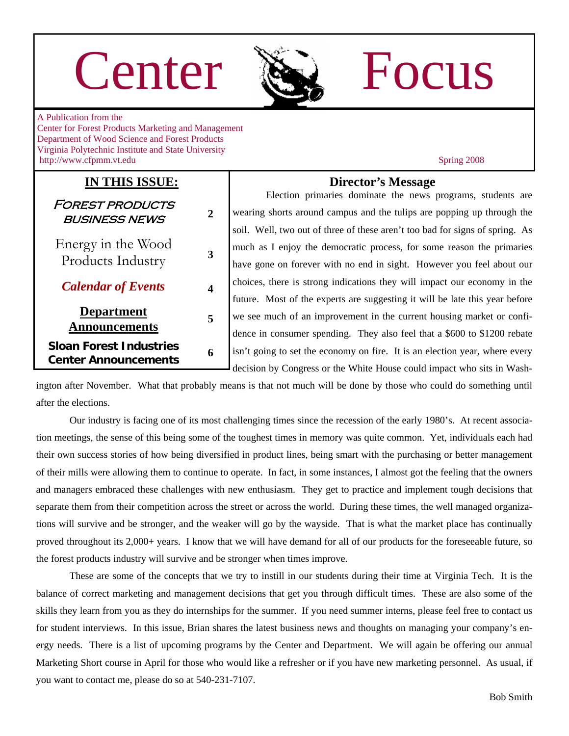# Center Re Focus



A Publication from the Center for Forest Products Marketing and Management Department of Wood Science and Forest Products Virginia Polytechnic Institute and State University http://www.cfpmm.vt.edu Spring 2008

### **IN THIS ISSUE:**

Forest products business news **2**  Energy in the Wood Products Industry **<sup>3</sup>** *Calendar of Events* **4 Department Announcements <sup>5</sup>**

**Sloan Forest Industries Center Announcements <sup>6</sup>**

### **Director's Message**

Election primaries dominate the news programs, students are wearing shorts around campus and the tulips are popping up through the soil. Well, two out of three of these aren't too bad for signs of spring. As much as I enjoy the democratic process, for some reason the primaries have gone on forever with no end in sight. However you feel about our choices, there is strong indications they will impact our economy in the future. Most of the experts are suggesting it will be late this year before we see much of an improvement in the current housing market or confidence in consumer spending. They also feel that a \$600 to \$1200 rebate isn't going to set the economy on fire. It is an election year, where every decision by Congress or the White House could impact who sits in Wash-

ington after November. What that probably means is that not much will be done by those who could do something until after the elections.

 Our industry is facing one of its most challenging times since the recession of the early 1980's. At recent association meetings, the sense of this being some of the toughest times in memory was quite common. Yet, individuals each had their own success stories of how being diversified in product lines, being smart with the purchasing or better management of their mills were allowing them to continue to operate. In fact, in some instances, I almost got the feeling that the owners and managers embraced these challenges with new enthusiasm. They get to practice and implement tough decisions that separate them from their competition across the street or across the world. During these times, the well managed organizations will survive and be stronger, and the weaker will go by the wayside. That is what the market place has continually proved throughout its 2,000+ years. I know that we will have demand for all of our products for the foreseeable future, so the forest products industry will survive and be stronger when times improve.

 These are some of the concepts that we try to instill in our students during their time at Virginia Tech. It is the balance of correct marketing and management decisions that get you through difficult times. These are also some of the skills they learn from you as they do internships for the summer. If you need summer interns, please feel free to contact us for student interviews. In this issue, Brian shares the latest business news and thoughts on managing your company's energy needs. There is a list of upcoming programs by the Center and Department. We will again be offering our annual Marketing Short course in April for those who would like a refresher or if you have new marketing personnel. As usual, if you want to contact me, please do so at 540-231-7107.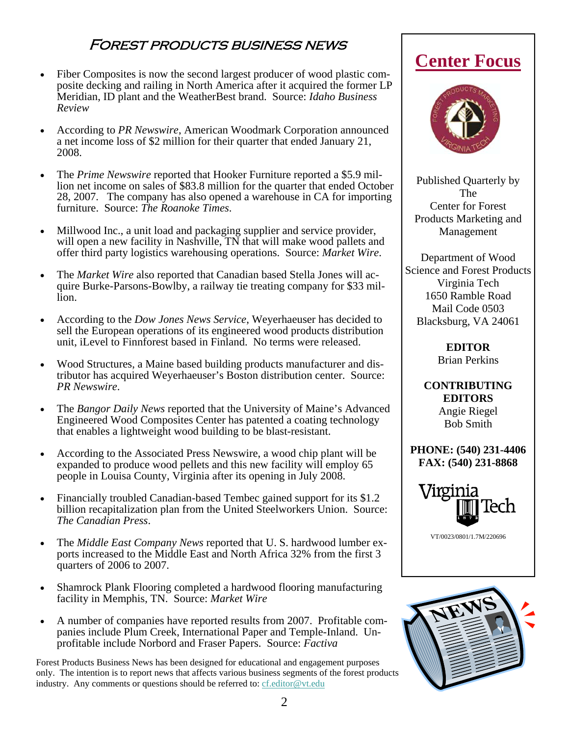### Forest products business news

- Fiber Composites is now the second largest producer of wood plastic composite decking and railing in North America after it acquired the former LP Meridian, ID plant and the WeatherBest brand. Source: *Idaho Business Review*
- According to *PR Newswire*, American Woodmark Corporation announced a net income loss of \$2 million for their quarter that ended January 21, 2008.
- The *Prime Newswire* reported that Hooker Furniture reported a \$5.9 million net income on sales of \$83.8 million for the quarter that ended October 28, 2007. The company has also opened a warehouse in CA for importing furniture. Source: *The Roanoke Times*.
- Millwood Inc., a unit load and packaging supplier and service provider, will open a new facility in Nashville, TN that will make wood pallets and offer third party logistics warehousing operations. Source: *Market Wire*.
- The *Market Wire* also reported that Canadian based Stella Jones will acquire Burke-Parsons-Bowlby, a railway tie treating company for \$33 million.
- According to the *Dow Jones News Service*, Weyerhaeuser has decided to sell the European operations of its engineered wood products distribution unit, iLevel to Finnforest based in Finland. No terms were released.
- Wood Structures, a Maine based building products manufacturer and distributor has acquired Weyerhaeuser's Boston distribution center. Source: *PR Newswire*.
- The *Bangor Daily News* reported that the University of Maine's Advanced Engineered Wood Composites Center has patented a coating technology that enables a lightweight wood building to be blast-resistant.
- According to the Associated Press Newswire, a wood chip plant will be expanded to produce wood pellets and this new facility will employ 65 people in Louisa County, Virginia after its opening in July 2008.
- Financially troubled Canadian-based Tembec gained support for its \$1.2 billion recapitalization plan from the United Steelworkers Union. Source: *The Canadian Press*.
- The *Middle East Company News* reported that U. S. hardwood lumber exports increased to the Middle East and North Africa 32% from the first 3 quarters of 2006 to 2007.
- Shamrock Plank Flooring completed a hardwood flooring manufacturing facility in Memphis, TN. Source: *Market Wire*
- A number of companies have reported results from 2007. Profitable companies include Plum Creek, International Paper and Temple-Inland. Unprofitable include Norbord and Fraser Papers. Source: *Factiva*

Forest Products Business News has been designed for educational and engagement purposes only. The intention is to report news that affects various business segments of the forest products industry. Any comments or questions should be referred to: [cf.editor@vt.edu](mailto:cf.editor@vt.edu?subject=Center%20Focus%20Comment)

### **Center Focus**



Published Quarterly by The Center for Forest Products Marketing and Management

Department of Wood Science and Forest Products Virginia Tech 1650 Ramble Road Mail Code 0503 Blacksburg, VA 24061

> **EDITOR**  Brian Perkins

**CONTRIBUTING EDITORS**  Angie Riegel Bob Smith

**PHONE: (540) 231-4406 FAX: (540) 231-8868** 



VT/0023/0801/1.7M/220696

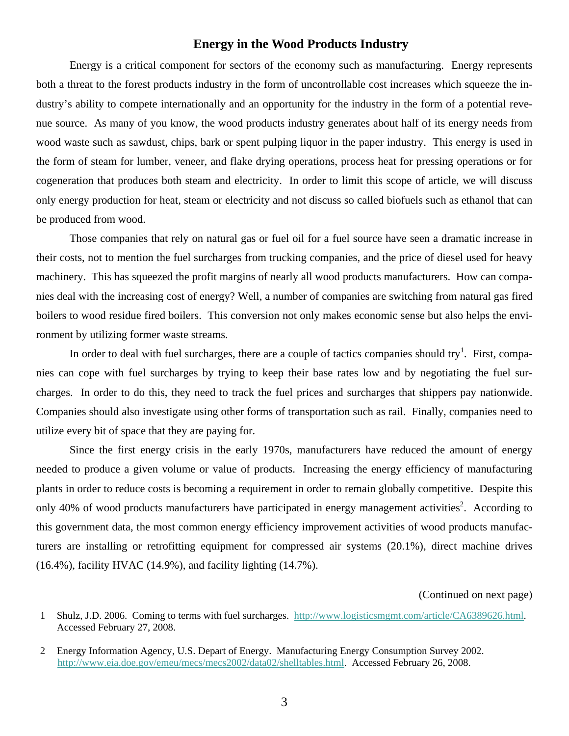#### **Energy in the Wood Products Industry**

Energy is a critical component for sectors of the economy such as manufacturing. Energy represents both a threat to the forest products industry in the form of uncontrollable cost increases which squeeze the industry's ability to compete internationally and an opportunity for the industry in the form of a potential revenue source. As many of you know, the wood products industry generates about half of its energy needs from wood waste such as sawdust, chips, bark or spent pulping liquor in the paper industry. This energy is used in the form of steam for lumber, veneer, and flake drying operations, process heat for pressing operations or for cogeneration that produces both steam and electricity. In order to limit this scope of article, we will discuss only energy production for heat, steam or electricity and not discuss so called biofuels such as ethanol that can be produced from wood.

Those companies that rely on natural gas or fuel oil for a fuel source have seen a dramatic increase in their costs, not to mention the fuel surcharges from trucking companies, and the price of diesel used for heavy machinery. This has squeezed the profit margins of nearly all wood products manufacturers. How can companies deal with the increasing cost of energy? Well, a number of companies are switching from natural gas fired boilers to wood residue fired boilers. This conversion not only makes economic sense but also helps the environment by utilizing former waste streams.

In order to deal with fuel surcharges, there are a couple of tactics companies should try<sup>1</sup>. First, companies can cope with fuel surcharges by trying to keep their base rates low and by negotiating the fuel surcharges. In order to do this, they need to track the fuel prices and surcharges that shippers pay nationwide. Companies should also investigate using other forms of transportation such as rail. Finally, companies need to utilize every bit of space that they are paying for.

Since the first energy crisis in the early 1970s, manufacturers have reduced the amount of energy needed to produce a given volume or value of products. Increasing the energy efficiency of manufacturing plants in order to reduce costs is becoming a requirement in order to remain globally competitive. Despite this only 40% of wood products manufacturers have participated in energy management activities<sup>2</sup>. According to this government data, the most common energy efficiency improvement activities of wood products manufacturers are installing or retrofitting equipment for compressed air systems (20.1%), direct machine drives (16.4%), facility HVAC (14.9%), and facility lighting (14.7%).

#### (Continued on next page)

<sup>1</sup> Shulz, J.D. 2006. Coming to terms with fuel surcharges. <http://www.logisticsmgmt.com/article/CA6389626.html>. Accessed February 27, 2008.

<sup>2</sup> Energy Information Agency, U.S. Depart of Energy. Manufacturing Energy Consumption Survey 2002. <http://www.eia.doe.gov/emeu/mecs/mecs2002/data02/shelltables.html>. Accessed February 26, 2008.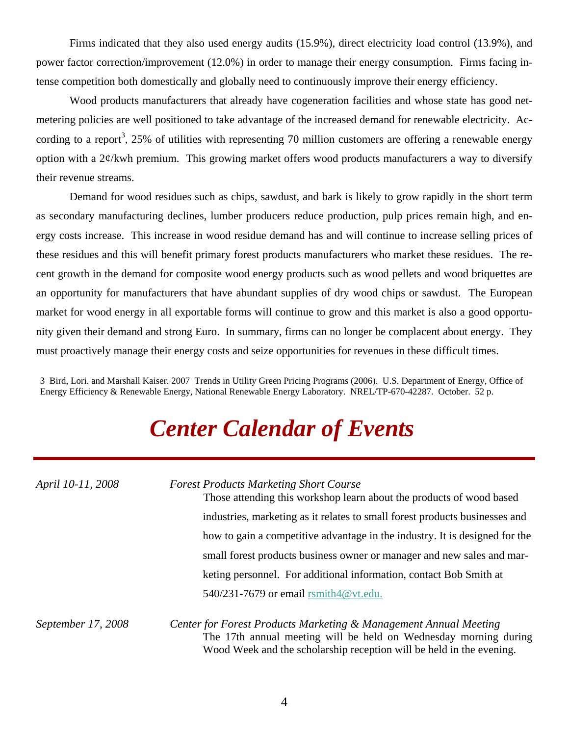Firms indicated that they also used energy audits (15.9%), direct electricity load control (13.9%), and power factor correction/improvement (12.0%) in order to manage their energy consumption. Firms facing intense competition both domestically and globally need to continuously improve their energy efficiency.

Wood products manufacturers that already have cogeneration facilities and whose state has good netmetering policies are well positioned to take advantage of the increased demand for renewable electricity. According to a report<sup>3</sup>, 25% of utilities with representing 70 million customers are offering a renewable energy option with a 2¢/kwh premium. This growing market offers wood products manufacturers a way to diversify their revenue streams.

Demand for wood residues such as chips, sawdust, and bark is likely to grow rapidly in the short term as secondary manufacturing declines, lumber producers reduce production, pulp prices remain high, and energy costs increase. This increase in wood residue demand has and will continue to increase selling prices of these residues and this will benefit primary forest products manufacturers who market these residues. The recent growth in the demand for composite wood energy products such as wood pellets and wood briquettes are an opportunity for manufacturers that have abundant supplies of dry wood chips or sawdust. The European market for wood energy in all exportable forms will continue to grow and this market is also a good opportunity given their demand and strong Euro. In summary, firms can no longer be complacent about energy. They must proactively manage their energy costs and seize opportunities for revenues in these difficult times.

3 Bird, Lori. and Marshall Kaiser. 2007 Trends in Utility Green Pricing Programs (2006). U.S. Department of Energy, Office of Energy Efficiency & Renewable Energy, National Renewable Energy Laboratory. NREL/TP-670-42287. October. 52 p.

## *Center Calendar of Events*

| April 10-11, 2008  | <b>Forest Products Marketing Short Course</b><br>Those attending this workshop learn about the products of wood based                                                                                        |
|--------------------|--------------------------------------------------------------------------------------------------------------------------------------------------------------------------------------------------------------|
|                    | industries, marketing as it relates to small forest products businesses and                                                                                                                                  |
|                    | how to gain a competitive advantage in the industry. It is designed for the                                                                                                                                  |
|                    | small forest products business owner or manager and new sales and mar-                                                                                                                                       |
|                    | keting personnel. For additional information, contact Bob Smith at                                                                                                                                           |
|                    | 540/231-7679 or email rsmith4@vt.edu.                                                                                                                                                                        |
| September 17, 2008 | Center for Forest Products Marketing & Management Annual Meeting<br>The 17th annual meeting will be held on Wednesday morning during<br>Wood Week and the scholarship reception will be held in the evening. |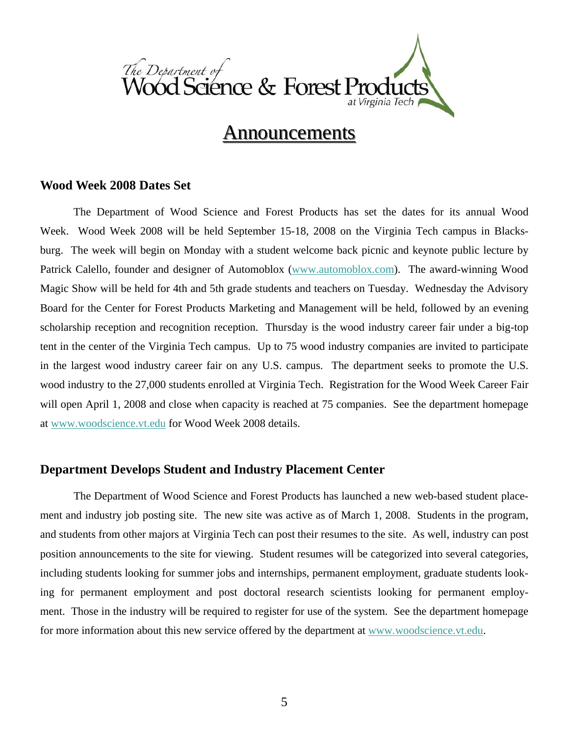

### **Announcements**

### **Wood Week 2008 Dates Set**

 The Department of Wood Science and Forest Products has set the dates for its annual Wood Week. Wood Week 2008 will be held September 15-18, 2008 on the Virginia Tech campus in Blacksburg. The week will begin on Monday with a student welcome back picnic and keynote public lecture by Patrick Calello, founder and designer of Automoblox [\(www.automoblox.com](http://www.automoblox.com)). The award-winning Wood Magic Show will be held for 4th and 5th grade students and teachers on Tuesday. Wednesday the Advisory Board for the Center for Forest Products Marketing and Management will be held, followed by an evening scholarship reception and recognition reception. Thursday is the wood industry career fair under a big-top tent in the center of the Virginia Tech campus. Up to 75 wood industry companies are invited to participate in the largest wood industry career fair on any U.S. campus. The department seeks to promote the U.S. wood industry to the 27,000 students enrolled at Virginia Tech. Registration for the Wood Week Career Fair will open April 1, 2008 and close when capacity is reached at 75 companies. See the department homepage at [www.woodscience.vt.edu](http://www.woodscience.vt.edu) for Wood Week 2008 details.

### **Department Develops Student and Industry Placement Center**

 The Department of Wood Science and Forest Products has launched a new web-based student placement and industry job posting site. The new site was active as of March 1, 2008. Students in the program, and students from other majors at Virginia Tech can post their resumes to the site. As well, industry can post position announcements to the site for viewing. Student resumes will be categorized into several categories, including students looking for summer jobs and internships, permanent employment, graduate students looking for permanent employment and post doctoral research scientists looking for permanent employment. Those in the industry will be required to register for use of the system. See the department homepage for more information about this new service offered by the department at [www.woodscience.vt.edu](http://www.woodscience.vt.edu).